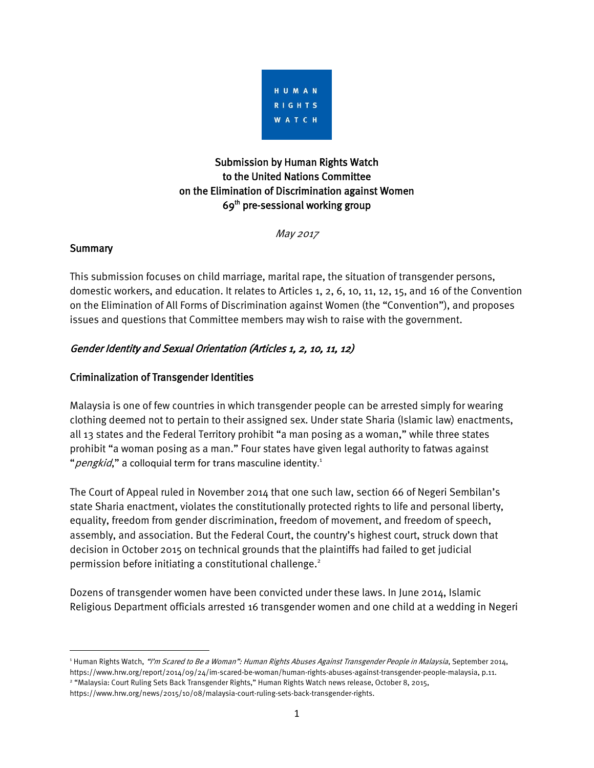

# Submission by Human Rights Watch to the United Nations Committee on the Elimination of Discrimination against Women 69<sup>th</sup> pre-sessional working group

May 2017

### **Summary**

 $\overline{a}$ 

This submission focuses on child marriage, marital rape, the situation of transgender persons, domestic workers, and education. It relates to Articles 1, 2, 6, 10, 11, 12, 15, and 16 of the Convention on the Elimination of All Forms of Discrimination against Women (the "Convention"), and proposes issues and questions that Committee members may wish to raise with the government.

## Gender Identity and Sexual Orientation (Articles 1, 2, 10, 11, 12)

### Criminalization of Transgender Identities

Malaysia is one of few countries in which transgender people can be arrested simply for wearing clothing deemed not to pertain to their assigned sex. Under state Sharia (Islamic law) enactments, all 13 states and the Federal Territory prohibit "a man posing as a woman," while three states prohibit "a woman posing as a man." Four states have given legal authority to fatwas against " pengkid," a colloquial term for trans masculine identity.<sup>1</sup>

The Court of Appeal ruled in November 2014 that one such law, section 66 of Negeri Sembilan's state Sharia enactment, violates the constitutionally protected rights to life and personal liberty, equality, freedom from gender discrimination, freedom of movement, and freedom of speech, assembly, and association. But the Federal Court, the country's highest court, struck down that decision in October 2015 on technical grounds that the plaintiffs had failed to get judicial permission before initiating a constitutional challenge. 2

Dozens of transgender women have been convicted under these laws. In June 2014, Islamic Religious Department officials arrested 16 transgender women and one child at a wedding in Negeri

<sup>&</sup>lt;sup>1</sup> Human Rights Watch, "I'm Scared to Be a Woman": Human Rights Abuses Against Transgender People in Malaysia, September 2014, [https://www.hrw.org/report/2014/09/24/im-scared-be-woman/human-rights-abuses-against-transgender-people-malaysia,](https://www.hrw.org/report/2014/09/24/im-scared-be-woman/human-rights-abuses-against-transgender-people-malaysia) p.11. 2 "Malaysia: Court Ruling Sets Back Transgender Rights," Human Rights Watch news release, October 8, 2015, https://www.hrw.org/news/2015/10/08/malaysia-court-ruling-sets-back-transgender-rights.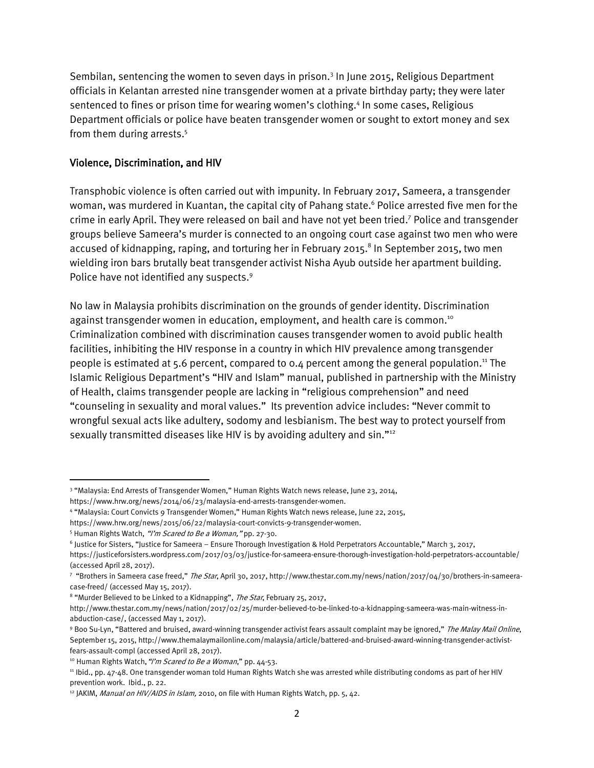Sembilan, sentencing the women to seven days in prison.<sup>3</sup> In June 2015, Religious Department officials in Kelantan arrested nine transgender women at a private birthday party; they were later sentenced to fines or prison time for wearing women's clothing.<sup>4</sup> In some cases, Religious Department officials or police have beaten transgender women or sought to extort money and sex from them during arrests.<sup>5</sup>

#### Violence, Discrimination, and HIV

Transphobic violence is often carried out with impunity. In February 2017, Sameera, a transgender woman, was murdered in Kuantan, the capital city of Pahang state. $^{\rm 6}$  Police arrested five men for the crime in early April. They were released on bail and have not yet been tried. 7 Police and transgender groups believe Sameera's murder is connected to an ongoing court case against two men who were accused of kidnapping, raping, and torturing her in February 2015. 8 In September 2015, two men wielding iron bars brutally beat transgender activist Nisha Ayub outside her apartment building. Police have not identified any suspects.<sup>9</sup>

No law in Malaysia prohibits discrimination on the grounds of gender identity. Discrimination against transgender women in education, employment, and health care is common.<sup>10</sup> Criminalization combined with discrimination causes transgender women to avoid public health facilities, inhibiting the HIV response in a country in which HIV prevalence among transgender people is estimated at 5.6 percent, compared to 0.4 percent among the general population.<sup>11</sup> The Islamic Religious Department's "HIV and Islam" manual, published in partnership with the Ministry of Health, claims transgender people are lacking in "religious comprehension" and need "counseling in sexuality and moral values." Its prevention advice includes: "Never commit to wrongful sexual acts like adultery, sodomy and lesbianism. The best way to protect yourself from sexually transmitted diseases like HIV is by avoiding adultery and sin."<sup>12</sup>

 $\overline{\phantom{a}}$ 

<sup>3</sup> "Malaysia: End Arrests of Transgender Women," Human Rights Watch news release, June 23, 2014,

[https://www.hrw.org/news/2014/06/23/malaysia-end-arrests-transgender-women.](https://www.hrw.org/news/2014/06/23/malaysia-end-arrests-transgender-women) 

<sup>4</sup> "Malaysia: Court Convicts 9 Transgender Women," Human Rights Watch news release, June 22, 2015,

[https://www.hrw.org/news/2015/06/22/malaysia-court-convicts-9-transgender-women.](https://www.hrw.org/news/2015/06/22/malaysia-court-convicts-9-transgender-women)

<sup>&</sup>lt;sup>5</sup> Human Rights Watch, "I'm Scared to Be a Woman," pp. 27-30.

<sup>6</sup> Justice for Sisters, "Justice for Sameera – Ensure Thorough Investigation & Hold Perpetrators Accountable," March 3, 2017,

<https://justiceforsisters.wordpress.com/2017/03/03/justice-for-sameera-ensure-thorough-investigation-hold-perpetrators-accountable/> (accessed April 28, 2017).

<sup>&</sup>lt;sup>7</sup> "Brothers in Sameera case freed," *The Star*, April 30, 2017[, http://www.thestar.com.my/news/nation/2017/04/30/brothers-in-sameera](http://www.thestar.com.my/news/nation/2017/04/30/brothers-in-sameera-case-freed/)[case-freed/](http://www.thestar.com.my/news/nation/2017/04/30/brothers-in-sameera-case-freed/) (accessed May 15, 2017).

<sup>&</sup>lt;sup>8</sup> "Murder Believed to be Linked to a Kidnapping", *The Star*, February 25, 2017,

[http://www.thestar.com.my/news/nation/2017/02/25/murder-believed-to-be-linked-to-a-kidnapping-sameera-was-main-witness-in](http://www.thestar.com.my/news/nation/2017/02/25/murder-believed-to-be-linked-to-a-kidnapping-sameera-was-main-witness-in-abduction-case/)[abduction-case/,](http://www.thestar.com.my/news/nation/2017/02/25/murder-believed-to-be-linked-to-a-kidnapping-sameera-was-main-witness-in-abduction-case/) (accessed May 1, 2017).

<sup>9</sup> Boo Su-Lyn, "Battered and bruised, award-winning transgender activist fears assault complaint may be ignored," The Malay Mail Online, September 15, 2015[, http://www.themalaymailonline.com/malaysia/article/battered-and-bruised-award-winning-transgender-activist](http://www.themalaymailonline.com/malaysia/article/battered-and-bruised-award-winning-transgender-activist-fears-assault-compl)[fears-assault-compl](http://www.themalaymailonline.com/malaysia/article/battered-and-bruised-award-winning-transgender-activist-fears-assault-compl) (accessed April 28, 2017).

<sup>&</sup>lt;sup>10</sup> Human Rights Watch, "I'm Scared to Be a Woman," pp. 44-53.

<sup>11</sup> Ibid., pp. 47-48. One transgender woman told Human Rights Watch she was arrested while distributing condoms as part of her HIV prevention work. Ibid., p. 22.

<sup>&</sup>lt;sup>12</sup> JAKIM, Manual on HIV/AIDS in Islam, 2010, on file with Human Rights Watch, pp. 5, 42.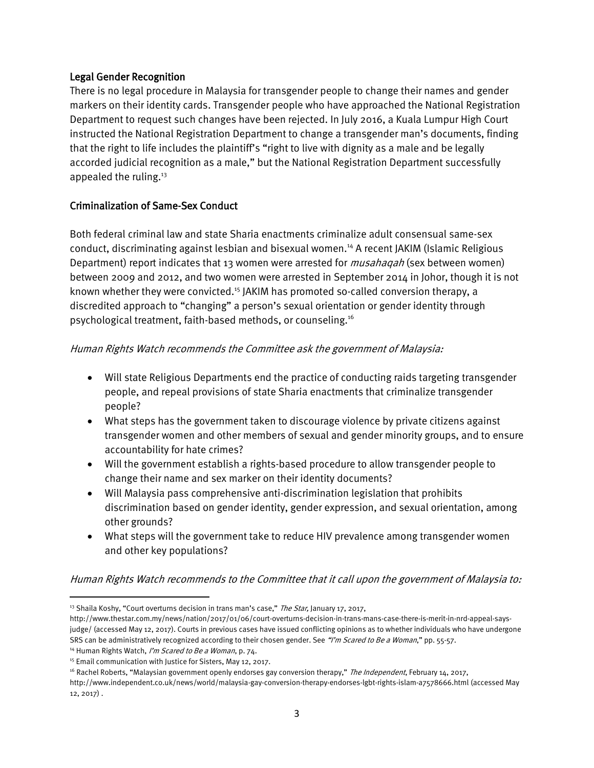#### Legal Gender Recognition

There is no legal procedure in Malaysia for transgender people to change their names and gender markers on their identity cards. Transgender people who have approached the National Registration Department to request such changes have been rejected. In July 2016, a Kuala Lumpur High Court instructed the National Registration Department to change a transgender man's documents, finding that the right to life includes the plaintiff's "right to live with dignity as a male and be legally accorded judicial recognition as a male," but the National Registration Department successfully appealed the ruling.<sup>13</sup>

### Criminalization of Same-Sex Conduct

Both federal criminal law and state Sharia enactments criminalize adult consensual same-sex conduct, discriminating against lesbian and bisexual women.<sup>14</sup> A recent JAKIM (Islamic Religious Department) report indicates that 13 women were arrested for *musahaqah* (sex between women) between 2009 and 2012, and two women were arrested in September 2014 in Johor, though it is not known whether they were convicted.<sup>15</sup> JAKIM has promoted so-called conversion therapy, a discredited approach to "changing" a person's sexual orientation or gender identity through psychological treatment, faith-based methods, or counseling.<sup>16</sup>

#### Human Rights Watch recommends the Committee ask the government of Malaysia:

- Will state Religious Departments end the practice of conducting raids targeting transgender people, and repeal provisions of state Sharia enactments that criminalize transgender people?
- What steps has the government taken to discourage violence by private citizens against transgender women and other members of sexual and gender minority groups, and to ensure accountability for hate crimes?
- Will the government establish a rights-based procedure to allow transgender people to change their name and sex marker on their identity documents?
- Will Malaysia pass comprehensive anti-discrimination legislation that prohibits discrimination based on gender identity, gender expression, and sexual orientation, among other grounds?
- What steps will the government take to reduce HIV prevalence among transgender women and other key populations?

#### Human Rights Watch recommends to the Committee that it call upon the government of Malaysia to:

 $\overline{\phantom{a}}$ 

<sup>&</sup>lt;sup>13</sup> Shaila Koshy, "Court overturns decision in trans man's case," The Star, January 17, 2017,

http://www.thestar.com.my/news/nation/2017/01/06/court-overturns-decision-in-trans-mans-case-there-is-merit-in-nrd-appeal-saysjudge/ (accessed May 12, 2017). Courts in previous cases have issued conflicting opinions as to whether individuals who have undergone SRS can be administratively recognized according to their chosen gender. See "I'm Scared to Be a Woman," pp. 55-57.

<sup>&</sup>lt;sup>14</sup> Human Rights Watch, I'm Scared to Be a Woman, p. 74.

<sup>&</sup>lt;sup>15</sup> Email communication with Justice for Sisters, May 12, 2017.

<sup>&</sup>lt;sup>16</sup> Rachel Roberts, "Malaysian government openly endorses gay conversion therapy," The Independent, February 14, 2017,

<http://www.independent.co.uk/news/world/malaysia-gay-conversion-therapy-endorses-lgbt-rights-islam-a7578666.html> (accessed May 12, 2017) .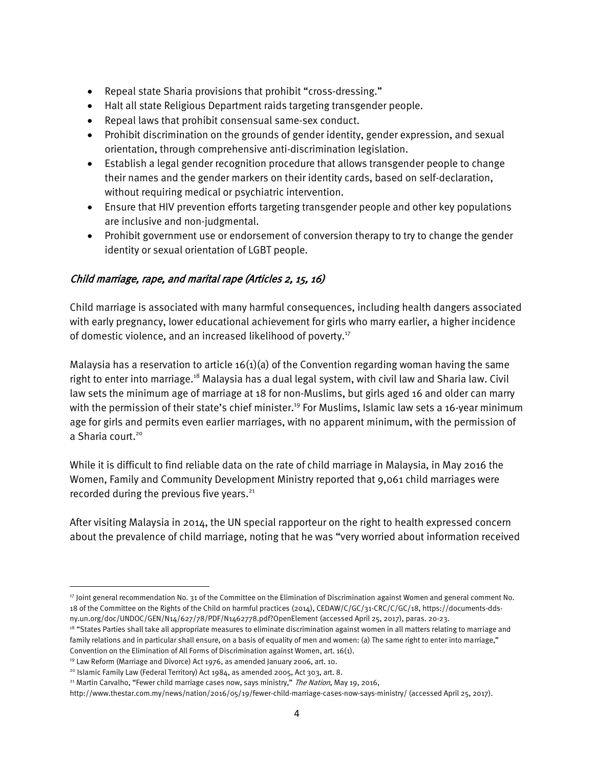- Repeal state Sharia provisions that prohibit "cross-dressing."
- Halt all state Religious Department raids targeting transgender people.
- Repeal laws that prohibit consensual same-sex conduct.
- Prohibit discrimination on the grounds of gender identity, gender expression, and sexual orientation, through comprehensive anti-discrimination legislation.
- Establish a legal gender recognition procedure that allows transgender people to change their names and the gender markers on their identity cards, based on self-declaration, without requiring medical or psychiatric intervention.
- Ensure that HIV prevention efforts targeting transgender people and other key populations are inclusive and non-judgmental.
- Prohibit government use or endorsement of conversion therapy to try to change the gender identity or sexual orientation of LGBT people.

## Child marriage, rape, and marital rape (Articles 2, 15, 16)

Child marriage is associated with many harmful consequences, including health dangers associated with early pregnancy, lower educational achievement for girls who marry earlier, a higher incidence of domestic violence, and an increased likelihood of poverty.<sup>17</sup>

Malaysia has a reservation to article 16(1)(a) of the Convention regarding woman having the same right to enter into marriage.<sup>18</sup> Malaysia has a dual legal system, with civil law and Sharia law. Civil law sets the minimum age of marriage at 18 for non-Muslims, but girls aged 16 and older can marry with the permission of their state's chief minister.<sup>19</sup> For Muslims, Islamic law sets a 16-year minimum age for girls and permits even earlier marriages, with no apparent minimum, with the permission of a Sharia court. 20

While it is difficult to find reliable data on the rate of child marriage in Malaysia, in May 2016 the Women, Family and Community Development Ministry reported that 9,061 child marriages were recorded during the previous five years. $21$ 

After visiting Malaysia in 2014, the UN special rapporteur on the right to health expressed concern about the prevalence of child marriage, noting that he was "very worried about information received

<sup>18</sup> "States Parties shall take all appropriate measures to eliminate discrimination against women in all matters relating to marriage and family relations and in particular shall ensure, on a basis of equality of men and women: (a) The same right to enter into marriage," Convention on the Elimination of All Forms of Discrimination against Women, art. 16(1).

 $\overline{a}$ 

<sup>17</sup> Joint general recommendation No. 31 of the Committee on the Elimination of Discrimination against Women and general comment No. 18 of the Committee on the Rights of the Child on harmful practices (2014), CEDAW/C/GC/31-CRC/C/GC/18[, https://documents-dds](https://documents-dds-ny.un.org/doc/UNDOC/GEN/N14/627/78/PDF/N1462778.pdf?OpenElement)[ny.un.org/doc/UNDOC/GEN/N14/627/78/PDF/N1462778.pdf?OpenElement](https://documents-dds-ny.un.org/doc/UNDOC/GEN/N14/627/78/PDF/N1462778.pdf?OpenElement) (accessed April 25, 2017), paras. 20-23.

<sup>&</sup>lt;sup>19</sup> Law Reform (Marriage and Divorce) Act 1976, as amended January 2006, art. 10.

<sup>&</sup>lt;sup>20</sup> Islamic Family Law (Federal Territory) Act 1984, as amended 2005, Act 303, art. 8.

<sup>&</sup>lt;sup>21</sup> Martin Carvalho, "Fewer child marriage cases now, says ministry," The Nation, May 19, 2016,

<http://www.thestar.com.my/news/nation/2016/05/19/fewer-child-marriage-cases-now-says-ministry/> (accessed April 25, 2017).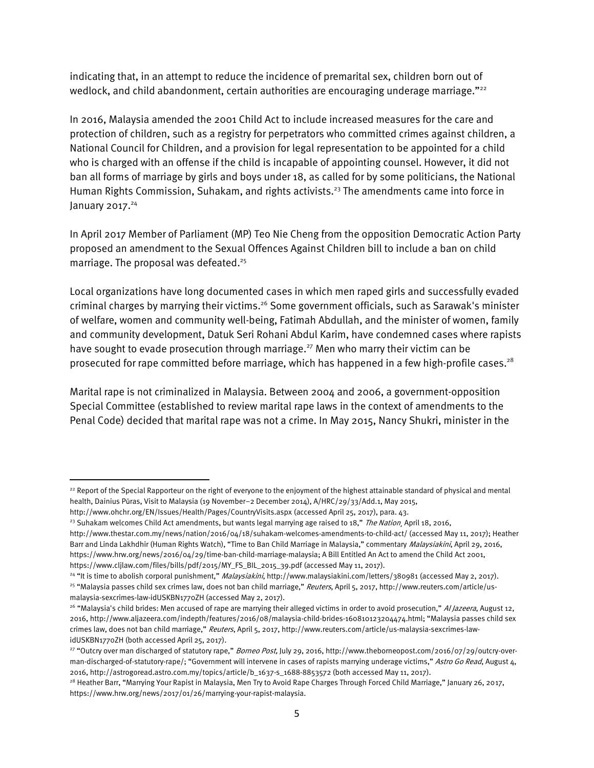indicating that, in an attempt to reduce the incidence of premarital sex, children born out of wedlock, and child abandonment, certain authorities are encouraging underage marriage."<sup>22</sup>

In 2016, Malaysia amended the 2001 Child Act to include increased measures for the care and protection of children, such as a registry for perpetrators who committed crimes against children, a National Council for Children, and a provision for legal representation to be appointed for a child who is charged with an offense if the child is incapable of appointing counsel. However, it did not ban all forms of marriage by girls and boys under 18, as called for by some politicians, the National Human Rights Commission, Suhakam, and rights activists.<sup>23</sup> The amendments came into force in January 2017. $^{24}$ 

In April 2017 Member of Parliament (MP) Teo Nie Cheng from the opposition Democratic Action Party proposed an amendment to the Sexual Offences Against Children bill to include a ban on child marriage. The proposal was defeated. 25

Local organizations have long documented cases in which men raped girls and successfully evaded criminal charges by marrying their victims.<sup>26</sup> Some government officials, such as Sarawak's minister of welfare, women and community well-being, Fatimah Abdullah, and the minister of women, family and community development, Datuk Seri Rohani Abdul Karim, have condemned cases where rapists have sought to evade prosecution through marriage. <sup>27</sup> Men who marry their victim can be prosecuted for rape committed before marriage, which has happened in a few high-profile cases.<sup>28</sup>

Marital rape is not criminalized in Malaysia. Between 2004 and 2006, a government-opposition Special Committee (established to review marital rape laws in the context of amendments to the Penal Code) decided that marital rape was not a crime. In May 2015, Nancy Shukri, minister in the

 $\overline{\phantom{a}}$ 

<sup>&</sup>lt;sup>22</sup> Report of the Special Rapporteur on the right of everyone to the enjoyment of the highest attainable standard of physical and mental health, Dainius Pūras, Visit to Malaysia (19 November–2 December 2014), A/HRC/29/33/Add.1, May 2015,

<http://www.ohchr.org/EN/Issues/Health/Pages/CountryVisits.aspx> (accessed April 25, 2017), para. 43.

<sup>&</sup>lt;sup>23</sup> Suhakam welcomes Child Act amendments, but wants legal marrying age raised to 18," The Nation, April 18, 2016,

<http://www.thestar.com.my/news/nation/2016/04/18/suhakam-welcomes-amendments-to-child-act/> (accessed May 11, 2017); Heather Barr and Linda Lakhdhir (Human Rights Watch), "Time to Ban Child Marriage in Malaysia," commentary Malaysiakini, April 29, 2016, [https://www.hrw.org/news/2016/04/29/time-ban-child-marriage-malaysia;](https://www.hrw.org/news/2016/04/29/time-ban-child-marriage-malaysia) A Bill Entitled An Act to amend the Child Act 2001, [https://www.cljlaw.com/files/bills/pdf/2015/MY\\_FS\\_BIL\\_2015\\_39.pdf](https://www.cljlaw.com/files/bills/pdf/2015/MY_FS_BIL_2015_39.pdf) (accessed May 11, 2017).

<sup>&</sup>lt;sup>24</sup> "It is time to abolish corporal punishment," Malaysiakini[, http://www.malaysiakini.com/letters/380981](http://www.malaysiakini.com/letters/380981) (accessed May 2, 2017).

<sup>&</sup>lt;sup>25</sup> "Malaysia passes child sex crimes law, does not ban child marriage," Reuters, April 5, 2017[, http://www.reuters.com/article/us](http://www.reuters.com/article/us-malaysia-sexcrimes-law-idUSKBN1770ZH)[malaysia-sexcrimes-law-idUSKBN1770ZH](http://www.reuters.com/article/us-malaysia-sexcrimes-law-idUSKBN1770ZH) (accessed May 2, 2017).

<sup>&</sup>lt;sup>26</sup> "Malaysia's child brides: Men accused of rape are marrying their alleged victims in order to avoid prosecution," Al Jazeera, August 12, 2016[, http://www.aljazeera.com/indepth/features/2016/08/malaysia-child-brides-160810123204474.html](http://www.aljazeera.com/indepth/features/2016/08/malaysia-child-brides-160810123204474.html); "Malaysia passes child sex crimes law, does not ban child marriage," Reuters, April 5, 2017[, http://www.reuters.com/article/us-malaysia-sexcrimes-law](http://www.reuters.com/article/us-malaysia-sexcrimes-law-idUSKBN1770ZH)[idUSKBN1770ZH](http://www.reuters.com/article/us-malaysia-sexcrimes-law-idUSKBN1770ZH) (both accessed April 25, 2017).

<sup>&</sup>lt;sup>27</sup> "Outcry over man discharged of statutory rape," *Borneo Post*, July 29, 2016, http://www.theborneopost.com/2016/07/29/outcry-overman-discharged-of-statutory-rape/; "Government will intervene in cases of rapists marrying underage victims," Astro Go Read, August 4, 2016[, http://astrogoread.astro.com.my/topics/article/b\\_1637-s\\_1688-8853572](http://astrogoread.astro.com.my/topics/article/b_1637-s_1688-8853572) (both accessed May 11, 2017).

<sup>&</sup>lt;sup>28</sup> Heather Barr, "Marrying Your Rapist in Malaysia, Men Try to Avoid Rape Charges Through Forced Child Marriage," January 26, 2017, [https://www.hrw.org/news/2017/01/26/marrying-your-rapist-malaysia.](https://www.hrw.org/news/2017/01/26/marrying-your-rapist-malaysia)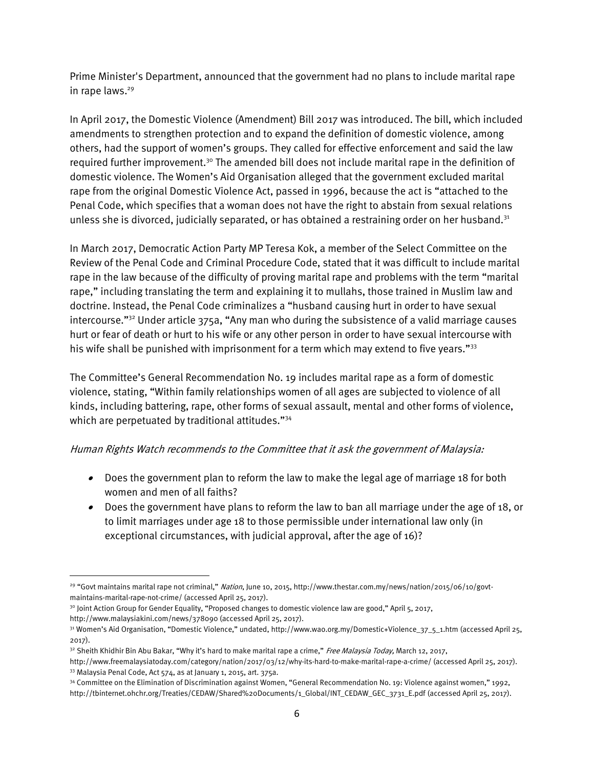Prime Minister's Department, announced that the government had no plans to include marital rape in rape laws.<sup>29</sup>

In April 2017, the Domestic Violence (Amendment) Bill 2017 was introduced. The bill, which included amendments to strengthen protection and to expand the definition of domestic violence, among others, had the support of women's groups. They called for effective enforcement and said the law required further improvement.<sup>30</sup> The amended bill does not include marital rape in the definition of domestic violence. The Women's Aid Organisation alleged that the government excluded marital rape from the original Domestic Violence Act, passed in 1996, because the act is "attached to the Penal Code, which specifies that a woman does not have the right to abstain from sexual relations unless she is divorced, judicially separated, or has obtained a restraining order on her husband.<sup>31</sup>

In March 2017, Democratic Action Party MP Teresa Kok, a member of the Select Committee on the Review of the Penal Code and Criminal Procedure Code, stated that it was difficult to include marital rape in the law because of the difficulty of proving marital rape and problems with the term "marital rape," including translating the term and explaining it to mullahs, those trained in Muslim law and doctrine. Instead, the Penal Code criminalizes a "husband causing hurt in order to have sexual intercourse."<sup>32</sup> Under article 375a, "Any man who during the subsistence of a valid marriage causes hurt or fear of death or hurt to his wife or any other person in order to have sexual intercourse with his wife shall be punished with imprisonment for a term which may extend to five years."<sup>33</sup>

The Committee's General Recommendation No. 19 includes marital rape as a form of domestic violence, stating, "Within family relationships women of all ages are subjected to violence of all kinds, including battering, rape, other forms of sexual assault, mental and other forms of violence, which are perpetuated by traditional attitudes."<sup>34</sup>

#### Human Rights Watch recommends to the Committee that it ask the government of Malaysia:

- Does the government plan to reform the law to make the legal age of marriage 18 for both women and men of all faiths?
- Does the government have plans to reform the law to ban all marriage under the age of 18, or to limit marriages under age 18 to those permissible under international law only (in exceptional circumstances, with judicial approval, after the age of 16)?

<sup>30</sup> Joint Action Group for Gender Equality, "Proposed changes to domestic violence law are good," April 5, 2017, <http://www.malaysiakini.com/news/378090> (accessed April 25, 2017).

 $\overline{a}$ 

<sup>&</sup>lt;sup>29</sup> "Govt maintains marital rape not criminal," Nation, June 10, 2015[, http://www.thestar.com.my/news/nation/2015/06/10/govt](http://www.thestar.com.my/news/nation/2015/06/10/govt-maintains-marital-rape-not-crime/)[maintains-marital-rape-not-crime/](http://www.thestar.com.my/news/nation/2015/06/10/govt-maintains-marital-rape-not-crime/) (accessed April 25, 2017).

<sup>&</sup>lt;sup>31</sup> Women's Aid Organisation, "Domestic Violence," undated, [http://www.wao.org.my/Domestic+Violence\\_37\\_5\\_1.htm](http://www.wao.org.my/Domestic+Violence_37_5_1.htm) (accessed April 25, 2017).

<sup>&</sup>lt;sup>32</sup> Sheith Khidhir Bin Abu Bakar, "Why it's hard to make marital rape a crime," Free Malaysia Today, March 12, 2017,

<http://www.freemalaysiatoday.com/category/nation/2017/03/12/why-its-hard-to-make-marital-rape-a-crime/> (accessed April 25, 2017). <sup>33</sup> Malaysia Penal Code, Act 574, as at January 1, 2015, art. 375a.

<sup>34</sup> Committee on the Elimination of Discrimination against Women, "General Recommendation No. 19: Violence against women," 1992, [http://tbinternet.ohchr.org/Treaties/CEDAW/Shared%20Documents/1\\_Global/INT\\_CEDAW\\_GEC\\_3731\\_E.pdf](http://tbinternet.ohchr.org/Treaties/CEDAW/Shared%20Documents/1_Global/INT_CEDAW_GEC_3731_E.pdf) (accessed April 25, 2017).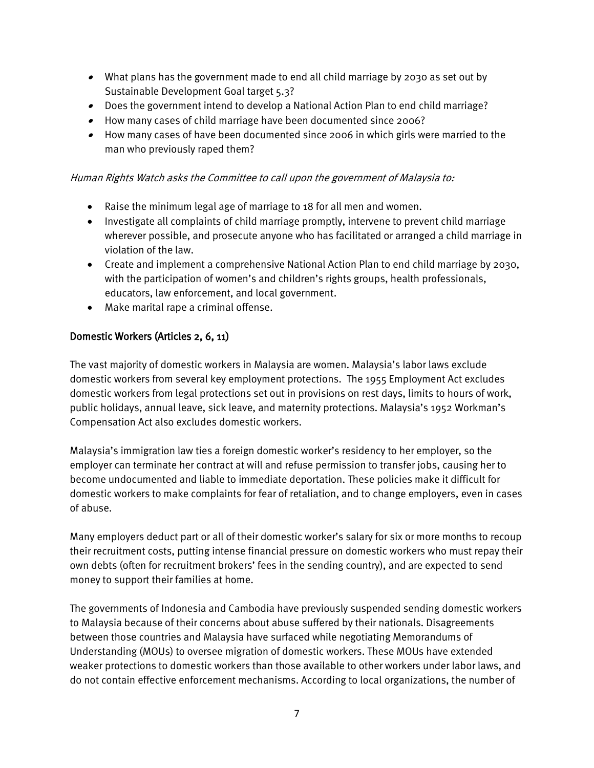- What plans has the government made to end all child marriage by 2030 as set out by Sustainable Development Goal target 5.3?
- Does the government intend to develop a National Action Plan to end child marriage?
- How many cases of child marriage have been documented since 2006?
- How many cases of have been documented since 2006 in which girls were married to the man who previously raped them?

### Human Rights Watch asks the Committee to call upon the government of Malaysia to:

- Raise the minimum legal age of marriage to 18 for all men and women.
- Investigate all complaints of child marriage promptly, intervene to prevent child marriage wherever possible, and prosecute anyone who has facilitated or arranged a child marriage in violation of the law.
- Create and implement a comprehensive National Action Plan to end child marriage by 2030, with the participation of women's and children's rights groups, health professionals, educators, law enforcement, and local government.
- Make marital rape a criminal offense.

# Domestic Workers (Articles 2, 6, 11)

The vast majority of domestic workers in Malaysia are women. Malaysia's labor laws exclude domestic workers from several key employment protections. The 1955 Employment Act excludes domestic workers from legal protections set out in provisions on rest days, limits to hours of work, public holidays, annual leave, sick leave, and maternity protections. Malaysia's 1952 Workman's Compensation Act also excludes domestic workers.

Malaysia's immigration law ties a foreign domestic worker's residency to her employer, so the employer can terminate her contract at will and refuse permission to transfer jobs, causing her to become undocumented and liable to immediate deportation. These policies make it difficult for domestic workers to make complaints for fear of retaliation, and to change employers, even in cases of abuse.

Many employers deduct part or all of their domestic worker's salary for six or more months to recoup their recruitment costs, putting intense financial pressure on domestic workers who must repay their own debts (often for recruitment brokers' fees in the sending country), and are expected to send money to support their families at home.

The governments of Indonesia and Cambodia have previously suspended sending domestic workers to Malaysia because of their concerns about abuse suffered by their nationals. Disagreements between those countries and Malaysia have surfaced while negotiating Memorandums of Understanding (MOUs) to oversee migration of domestic workers. These MOUs have extended weaker protections to domestic workers than those available to other workers under labor laws, and do not contain effective enforcement mechanisms. According to local organizations, the number of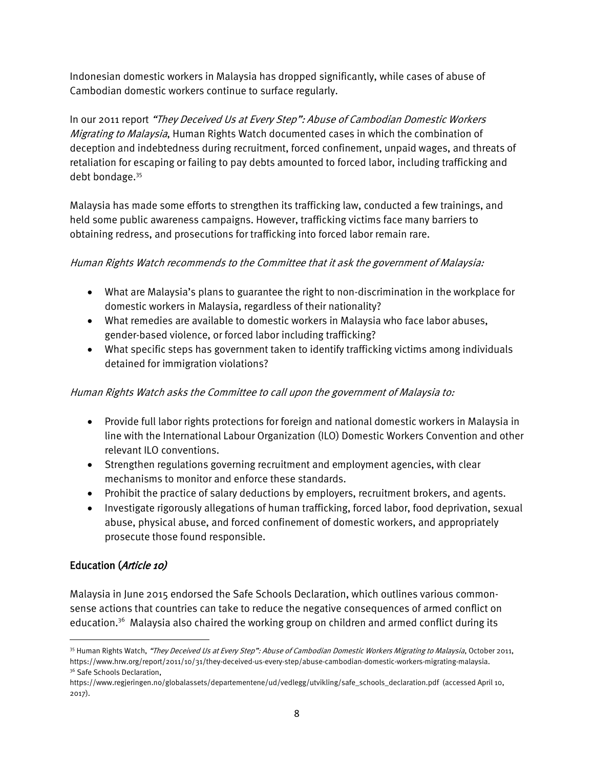Indonesian domestic workers in Malaysia has dropped significantly, while cases of abuse of Cambodian domestic workers continue to surface regularly.

In our 2011 report "They Deceived Us at Every Step": Abuse of Cambodian Domestic Workers Migrating to Malaysia, Human Rights Watch documented cases in which the combination of deception and indebtedness during recruitment, forced confinement, unpaid wages, and threats of retaliation for escaping or failing to pay debts amounted to forced labor, including trafficking and debt bondage.<sup>35</sup>

Malaysia has made some efforts to strengthen its trafficking law, conducted a few trainings, and held some public awareness campaigns. However, trafficking victims face many barriers to obtaining redress, and prosecutions for trafficking into forced labor remain rare.

## Human Rights Watch recommends to the Committee that it ask the government of Malaysia:

- What are Malaysia's plans to guarantee the right to non-discrimination in the workplace for domestic workers in Malaysia, regardless of their nationality?
- What remedies are available to domestic workers in Malaysia who face labor abuses, gender-based violence, or forced labor including trafficking?
- What specific steps has government taken to identify trafficking victims among individuals detained for immigration violations?

# Human Rights Watch asks the Committee to call upon the government of Malaysia to:

- Provide full labor rights protections for foreign and national domestic workers in Malaysia in line with the International Labour Organization (ILO) Domestic Workers Convention and other relevant ILO conventions.
- Strengthen regulations governing recruitment and employment agencies, with clear mechanisms to monitor and enforce these standards.
- Prohibit the practice of salary deductions by employers, recruitment brokers, and agents.
- Investigate rigorously allegations of human trafficking, forced labor, food deprivation, sexual abuse, physical abuse, and forced confinement of domestic workers, and appropriately prosecute those found responsible.

# Education (Article 10)

 $\overline{a}$ 

Malaysia in June 2015 endorsed the Safe Schools Declaration, which outlines various commonsense actions that countries can take to reduce the negative consequences of armed conflict on education.<sup>36</sup> Malaysia also chaired the working group on children and armed conflict during its

<sup>&</sup>lt;sup>35</sup> Human Rights Watch, "They Deceived Us at Every Step": Abuse of Cambodian Domestic Workers Migrating to Malaysia, October 2011, https://www.hrw.org/report/2011/10/31/they-deceived-us-every-step/abuse-cambodian-domestic-workers-migrating-malaysia. <sup>36</sup> Safe Schools Declaration.

https://www.regjeringen.no/globalassets/departementene/ud/vedlegg/utvikling/safe\_schools\_declaration.pdf (accessed April 10, 2017).